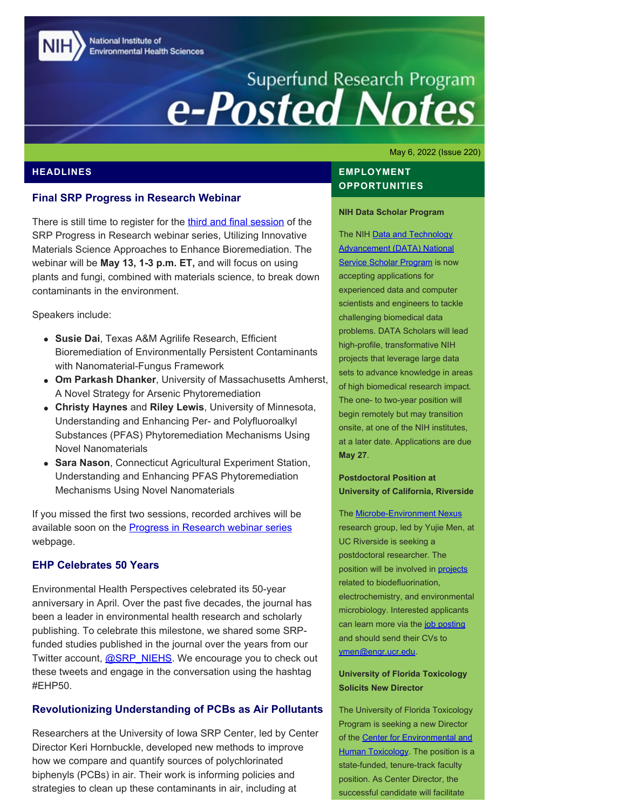National Institute of **Environmental Health Sciences** 

# Superfund Research Program<br> **e-Posted Notes**

May 6, 2022 (Issue 220)

#### **HEADLINES**

#### **Final SRP Progress in Research Webinar**

There is still time to register for the [third and final session](https://clu-in.org/training/webinar/srppir18/) of the SRP Progress in Research webinar series, Utilizing Innovative Materials Science Approaches to Enhance Bioremediation. The webinar will be **May 13, 1-3 p.m. ET,** and will focus on using plants and fungi, combined with materials science, to break down contaminants in the environment.

Speakers include:

- **Susie Dai**, Texas A&M Agrilife Research, Efficient Bioremediation of Environmentally Persistent Contaminants with Nanomaterial-Fungus Framework
- **Om Parkash Dhanker**, University of Massachusetts Amherst, A Novel Strategy for Arsenic Phytoremediation
- **Christy Haynes** and **Riley Lewis**, University of Minnesota, Understanding and Enhancing Per- and Polyfluoroalkyl Substances (PFAS) Phytoremediation Mechanisms Using Novel Nanomaterials
- **Sara Nason**, Connecticut Agricultural Experiment Station, Understanding and Enhancing PFAS Phytoremediation Mechanisms Using Novel Nanomaterials

If you missed the first two sessions, recorded archives will be available soon on the **Progress in Research webinar series** webpage.

#### **EHP Celebrates 50 Years**

Environmental Health Perspectives celebrated its 50-year anniversary in April. Over the past five decades, the journal has been a leader in environmental health research and scholarly publishing. To celebrate this milestone, we shared some SRPfunded studies published in the journal over the years from our Twitter account, [@SRP\\_NIEHS](https://twitter.com/SRP_NIEHS). We encourage you to check out these tweets and engage in the conversation using the hashtag #EHP50.

## **Revolutionizing Understanding of PCBs as Air Pollutants**

Researchers at the University of Iowa SRP Center, led by Center Director Keri Hornbuckle, developed new methods to improve how we compare and quantify sources of polychlorinated biphenyls (PCBs) in air. Their work is informing policies and strategies to clean up these contaminants in air, including at

## **EMPLOYMENT OPPORTUNITIES**

#### **NIH Data Scholar Program**

The NIH Data and Technology [Advancement \(DATA\) National](https://datascience.nih.gov/data-scholars-2022)  **[Service Scholar Program](https://datascience.nih.gov/data-scholars-2022) is now** accepting applications for experienced data and computer scientists and engineers to tackle challenging biomedical data problems. DATA Scholars will lead high-profile, transformative NIH projects that leverage large data sets to advance knowledge in areas of high biomedical research impact. The one- to two-year position will begin remotely but may transition onsite, at one of the NIH institutes, at a later date. Applications are due **May 27**.

**Postdoctoral Position at University of California, Riverside** 

The [Microbe-Environment Nexus](https://environmicrobe.weebly.com/) research group, led by Yujie Men, at UC Riverside is seeking a postdoctoral researcher. The position will be involved in [projects](https://tools.niehs.nih.gov/srp/programs/Program_detail.cfm?Project_ID=R01ES032668) related to biodefluorination, electrochemistry, and environmental microbiology. Interested applicants can learn more via the [job posting](https://environmicrobe.weebly.com/opportunities.html) and should send their CVs to [ymen@engr.ucr.edu](mailto:ymen@engr.ucr.edu).

#### **University of Florida Toxicology Solicits New Director**

The University of Florida Toxicology Program is seeking a new Director of the [Center for Environmental and](https://toxicology.vetmed.ufl.edu/) [Human Toxicology.](https://toxicology.vetmed.ufl.edu/) The position is a state-funded, tenure-track faculty position. As Center Director, the successful candidate will facilitate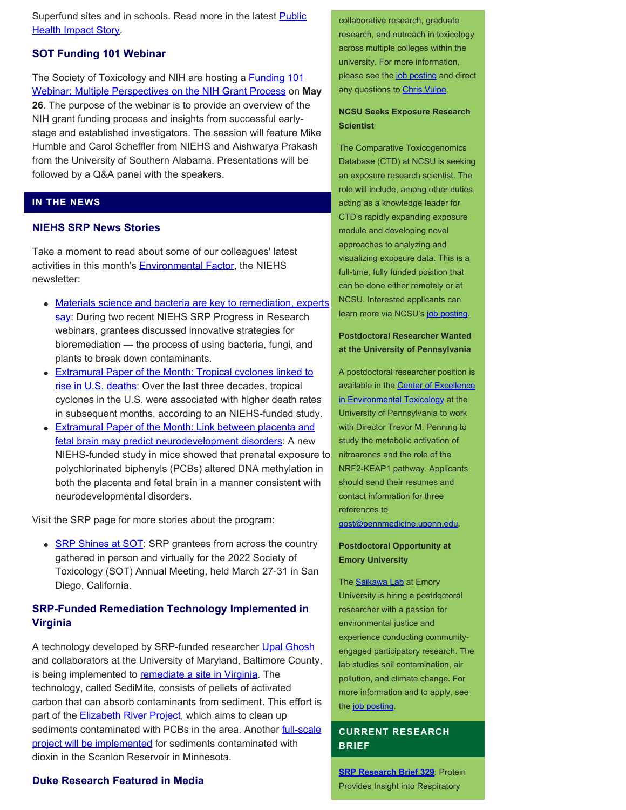Superfund sites and in schools. Read more in the latest **Public [Health Impact Story.](https://www.niehs.nih.gov/research/supported/centers/srp/phi/archives/publicpolicy/hornbuckle/index.cfm)** 

#### **SOT Funding 101 Webinar**

The Society of Toxicology and NIH are hosting a **Funding 101** [Webinar: Multiple Perspectives on the NIH Grant Process](https://www.toxicology.org/events/calendar/eventSingle.asp?dDay=26&dMonth=May&dYear=2022&dID=11075) on **May 26**. The purpose of the webinar is to provide an overview of the NIH grant funding process and insights from successful earlystage and established investigators. The session will feature Mike Humble and Carol Scheffler from NIEHS and Aishwarya Prakash from the University of Southern Alabama. Presentations will be followed by a Q&A panel with the speakers.

#### **IN THE NEWS**

# **NIEHS SRP News Stories**

Take a moment to read about some of our colleagues' latest activities in this month's **Environmental Factor**, the NIEHS newsletter:

- [Materials science and bacteria are key to remediation, experts](https://factor.niehs.nih.gov/2022/5/community-impact/materials-science/index.htm) [say](https://factor.niehs.nih.gov/2022/5/community-impact/materials-science/index.htm): During two recent NIEHS SRP Progress in Research webinars, grantees discussed innovative strategies for bioremediation — the process of using bacteria, fungi, and plants to break down contaminants.
- **[Extramural Paper of the Month: Tropical cyclones linked to](https://factor.niehs.nih.gov/2022/5/papers/dert/index.htm#a1)** [rise in U.S. deaths:](https://factor.niehs.nih.gov/2022/5/papers/dert/index.htm#a1) Over the last three decades, tropical cyclones in the U.S. were associated with higher death rates in subsequent months, according to an NIEHS-funded study.
- **[Extramural Paper of the Month: Link between placenta and](https://factor.niehs.nih.gov/2022/5/papers/dert/index.htm#a4)** [fetal brain may predict neurodevelopment disorders](https://factor.niehs.nih.gov/2022/5/papers/dert/index.htm#a4): A new NIEHS-funded study in mice showed that prenatal exposure to polychlorinated biphenyls (PCBs) altered DNA methylation in both the placenta and fetal brain in a manner consistent with neurodevelopmental disorders.

Visit the SRP page for more stories about the program:

• **[SRP Shines at SOT](https://www.niehs.nih.gov/research/supported/centers/srp/news/2022news/SOT/index.cfm):** SRP grantees from across the country gathered in person and virtually for the 2022 Society of Toxicology (SOT) Annual Meeting, held March 27-31 in San Diego, California.

#### **SRP-Funded Remediation Technology Implemented in Virginia**

A technology developed by SRP-funded researcher [Upal Ghosh](https://tools.niehs.nih.gov/srp/programs/Program_detail.cfm?Project_ID=R01ES032719) and collaborators at the University of Maryland, Baltimore County, is being implemented to [remediate a site in Virginia](https://whro.org/news/local-news/28109-pellets-of-carbon-will-help-rid-paradise-creek-of-chemicals-after-dredging-millions-of-pounds-of-sediment). The technology, called SediMite, consists of pellets of activated carbon that can absorb contaminants from sediment. This effort is part of the **Elizabeth River Project**, which aims to clean up sediments contaminated with PCBs in the area. Another **full-scale** [project will be implemented](https://www.epa.gov/newsreleases/epa-and-mpca-announce-6m-sediment-cleanup-st-louis-river-area-concern-scanlon) for sediments contaminated with dioxin in the Scanlon Reservoir in Minnesota.

collaborative research, graduate research, and outreach in toxicology across multiple colleges within the university. For more information, please see the [job posting](https://explore.jobs.ufl.edu/en-us/job/520558/prg-dir-asofull-prof) and direct any questions to [Chris Vulpe](mailto:cvulpe@ufl.edu).

#### **NCSU Seeks Exposure Research Scientist**

The Comparative Toxicogenomics Database (CTD) at NCSU is seeking an exposure research scientist. The role will include, among other duties, acting as a knowledge leader for CTD's rapidly expanding exposure module and developing novel approaches to analyzing and visualizing exposure data. This is a full-time, fully funded position that can be done either remotely or at NCSU. Interested applicants can learn more via NCSU's [job posting](https://jobs.ncsu.edu/postings/158804).

#### **Postdoctoral Researcher Wanted at the University of Pennsylvania**

A postdoctoral researcher position is available in the **Center of Excellence** [in Environmental Toxicology](https://ceet.upenn.edu/home/) at the University of Pennsylvania to work with Director Trevor M. Penning to study the metabolic activation of nitroarenes and the role of the NRF2-KEAP1 pathway. Applicants should send their resumes and contact information for three references to [gost@pennmedicine.upenn.edu](mailto:gost@pennmedicine.upenn.edu).

#### **Postdoctoral Opportunity at Emory University**

The **Saikawa Lab** at Emory University is hiring a postdoctoral researcher with a passion for environmental justice and experience conducting communityengaged participatory research. The lab studies soil contamination, air pollution, and climate change. For more information and to apply, see the [job posting](https://faculty-emory.icims.com/jobs/84984/job?mobile=false&width=1140&height=500&bga=true&needsRedirect=false&jan1offset=-300&jun1offset=-240).

#### **CURRENT RESEARCH BRIEF**

**[SRP Research Brief 329](https://tools.niehs.nih.gov/srp/researchbriefs/view.cfm?Brief_ID=329)**: Protein **Duke Research Featured in Media Provides Insight into Respiratory Provides Insight into Respiratory**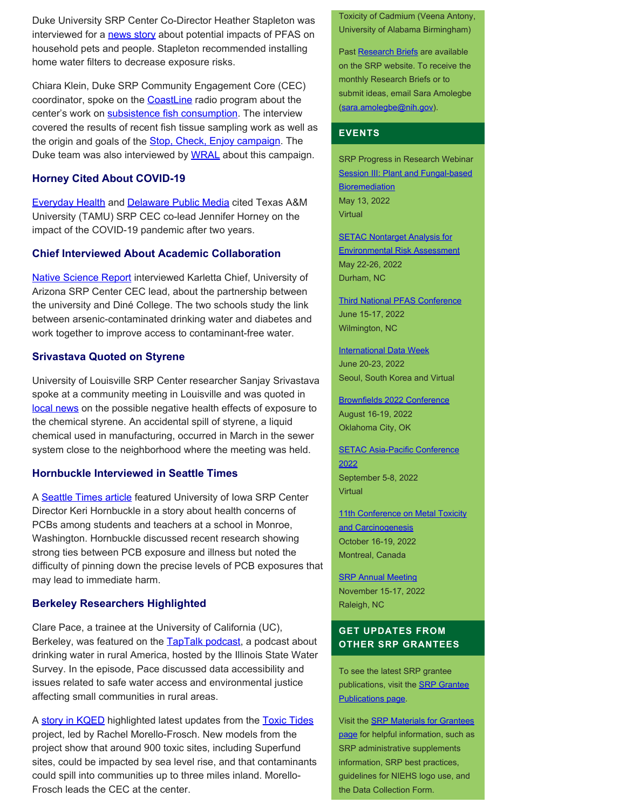Duke University SRP Center Co-Director Heather Stapleton was interviewed for a [news story](https://www.wsaw.com/2022/03/08/study-pfas-can-have-effects-animals-pets/) about potential impacts of PFAS on household pets and people. Stapleton recommended installing home water filters to decrease exposure risks.

Chiara Klein, Duke SRP Community Engagement Core (CEC) coordinator, spoke on the **CoastLine** radio program about the center's work on [subsistence fish consumption](https://sites.nicholas.duke.edu/superfundcec/fish/). The interview covered the results of recent fish tissue sampling work as well as the origin and goals of the **Stop, Check, Enjoy campaign**. The Duke team was also interviewed by [WRAL](https://www.wral.com/stop-check-before-you-enjoy-fish-consumption-month/20209409/) about this campaign.

#### **Horney Cited About COVID-19**

[Everyday Health](https://www.everydayhealth.com/coronavirus/marking-years-since-the-start-of-the-coronavirus-pandemic/) and [Delaware Public Media](https://www.delawarepublic.org/science-health-tech/2022-03-15/evaluating-the-impact-of-2-years-in-the-covid-19-pandemic) cited Texas A&M University (TAMU) SRP CEC co-lead Jennifer Horney on the impact of the COVID-19 pandemic after two years.

#### **Chief Interviewed About Academic Collaboration**

[Native Science Report](https://nativesciencereport.org/2022/03/diabetes-on-tap/#more-6599) interviewed Karletta Chief, University of Arizona SRP Center CEC lead, about the partnership between the university and Diné College. The two schools study the link between arsenic-contaminated drinking water and diabetes and work together to improve access to contaminant-free water.

#### **Srivastava Quoted on Styrene**

University of Louisville SRP Center researcher Sanjay Srivastava spoke at a community meeting in Louisville and was quoted in [local news](https://www.wlky.com/article/community-meeting-concerns-south-louisville-chemical-spill/39654980) on the possible negative health effects of exposure to the chemical styrene. An accidental spill of styrene, a liquid chemical used in manufacturing, occurred in March in the sewer system close to the neighborhood where the meeting was held.

#### **Hornbuckle Interviewed in Seattle Times**

A [Seattle Times article](https://www.seattletimes.com/seattle-news/times-watchdog/toxic-pcbs-festered-at-a-monroe-washington-school-as-sky-valley-students-teachers-grew-sicker/) featured University of Iowa SRP Center Director Keri Hornbuckle in a story about health concerns of PCBs among students and teachers at a school in Monroe, Washington. Hornbuckle discussed recent research showing strong ties between PCB exposure and illness but noted the difficulty of pinning down the precise levels of PCB exposures that may lead to immediate harm.

#### **Berkeley Researchers Highlighted**

Clare Pace, a trainee at the University of California (UC), Berkeley, was featured on the **TapTalk podcast**, a podcast about drinking water in rural America, hosted by the Illinois State Water Survey. In the episode, Pace discussed data accessibility and issues related to safe water access and environmental justice affecting small communities in rural areas.

A [story in KQED](https://www.kqed.org/science/1979092/how-rising-sea-levels-could-push-up-a-toxic-soup-into-bay-area-neighborhoods) highlighted latest updates from the Toxic Tides project, led by Rachel Morello-Frosch. New models from the project show that around 900 toxic sites, including Superfund sites, could be impacted by sea level rise, and that contaminants could spill into communities up to three miles inland. Morello-Frosch leads the CEC at the center.

Toxicity of Cadmium (Veena Antony, University of Alabama Birmingham)

Past [Research Briefs](http://tools.niehs.nih.gov/srp/researchbriefs/index.cfm) are available on the SRP website. To receive the monthly Research Briefs or to submit ideas, email Sara Amolegbe [\(sara.amolegbe@nih.gov](mailto:sara.amolegbe@nih.gov)).

#### **EVENTS**

SRP Progress in Research Webinar Session III: Plant and Fungal-based **Bioremediation** May 13, 2022 Virtual

**[SETAC Nontarget Analysis for](https://nta.setac.org/)** [Environmental Risk Assessment](https://nta.setac.org/)  May 22-26, 2022 Durham, NC

[Third National PFAS Conference](https://pfasmeeting.wordpress.ncsu.edu/)  June 15-17, 2022 Wilmington, NC

**International Data Week** June 20-23, 2022 Seoul, South Korea and Virtual

[Brownfields 2022 Conference](https://brownfields2021.org/about/conference-overview/)  August 16-19, 2022 Oklahoma City, OK

**SETAC Asia-Pacific Conference** [2022](https://singapore.setac.org/)  September 5-8, 2022 **Virtual** 

11th Conference on Metal Toxicity and Carcinogenesis October 16-19, 2022 Montreal, Canada

**SRP Annual Meeting** November 15-17, 2022 Raleigh, NC

# **GET UPDATES FROM OTHER SRP GRANTEES**

To see the latest SRP grantee publications, visit the **SRP Grantee** [Publications page.](https://tools.niehs.nih.gov/srp/publications/granteepublications.cfm)

Visit the [SRP Materials for Grantees](https://www.niehs.nih.gov/research/supported/centers/srp/resources/index.cfm) [page](https://www.niehs.nih.gov/research/supported/centers/srp/resources/index.cfm) for helpful information, such as SRP administrative supplements information, SRP best practices, guidelines for NIEHS logo use, and the Data Collection Form.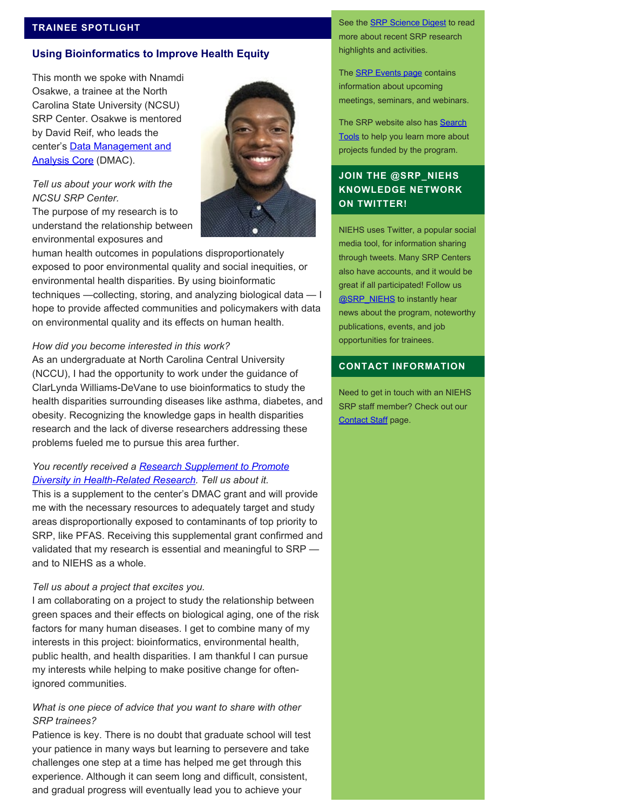#### **TRAINEE SPOTLIGHT**

#### **Using Bioinformatics to Improve Health Equity**

This month we spoke with Nnamdi Osakwe, a trainee at the North Carolina State University (NCSU) SRP Center. Osakwe is mentored by David Reif, who leads the center's **Data Management and** [Analysis Core](https://tools.niehs.nih.gov/srp/programs/Program_detail.cfm?Project_ID=P42ES0310095637&FY=2020) (DMAC).



# *Tell us about your work with the NCSU SRP Center.*

The purpose of my research is to understand the relationship between environmental exposures and

human health outcomes in populations disproportionately exposed to poor environmental quality and social inequities, or environmental health disparities. By using bioinformatic techniques —collecting, storing, and analyzing biological data — I hope to provide affected communities and policymakers with data on environmental quality and its effects on human health.

#### *How did you become interested in this work?*

As an undergraduate at North Carolina Central University (NCCU), I had the opportunity to work under the guidance of ClarLynda Williams-DeVane to use bioinformatics to study the health disparities surrounding diseases like asthma, diabetes, and obesity. Recognizing the knowledge gaps in health disparities research and the lack of diverse researchers addressing these problems fueled me to pursue this area further.

#### *You recently received a [Research Supplement to Promote](https://www.niehs.nih.gov/research/supported/centers/srp/resources/general_administrative_supplements/diversity/index.cfm) [Diversity in Health-Related Research.](https://www.niehs.nih.gov/research/supported/centers/srp/resources/general_administrative_supplements/diversity/index.cfm) Tell us about it.*

This is a supplement to the center's DMAC grant and will provide me with the necessary resources to adequately target and study areas disproportionally exposed to contaminants of top priority to SRP, like PFAS. Receiving this supplemental grant confirmed and validated that my research is essential and meaningful to SRP and to NIEHS as a whole.

#### *Tell us about a project that excites you.*

I am collaborating on a project to study the relationship between green spaces and their effects on biological aging, one of the risk factors for many human diseases. I get to combine many of my interests in this project: bioinformatics, environmental health, public health, and health disparities. I am thankful I can pursue my interests while helping to make positive change for oftenignored communities.

#### *What is one piece of advice that you want to share with other SRP trainees?*

Patience is key. There is no doubt that graduate school will test your patience in many ways but learning to persevere and take challenges one step at a time has helped me get through this experience. Although it can seem long and difficult, consistent, and gradual progress will eventually lead you to achieve your

See the **SRP Science Digest** to read more about recent SRP research highlights and activities.

The **SRP Events page contains** information about upcoming meetings, seminars, and webinars.

The SRP website also has **Search** [Tools](http://tools.niehs.nih.gov/srp/search/index.cfm) to help you learn more about projects funded by the program.

# **JOIN THE @SRP\_NIEHS KNOWLEDGE NETWORK ON TWITTER!**

NIEHS uses Twitter, a popular social media tool, for information sharing through tweets. Many SRP Centers also have accounts, and it would be great if all participated! Follow us [@SRP\\_NIEHS](https://twitter.com/SRP_NIEHS) to instantly hear news about the program, noteworthy publications, events, and job opportunities for trainees.

#### **CONTACT INFORMATION**

Need to get in touch with an NIEHS SRP staff member? Check out our [Contact Staff](https://www.niehs.nih.gov/research/supported/centers/srp/about/contact_us/index.cfm) page.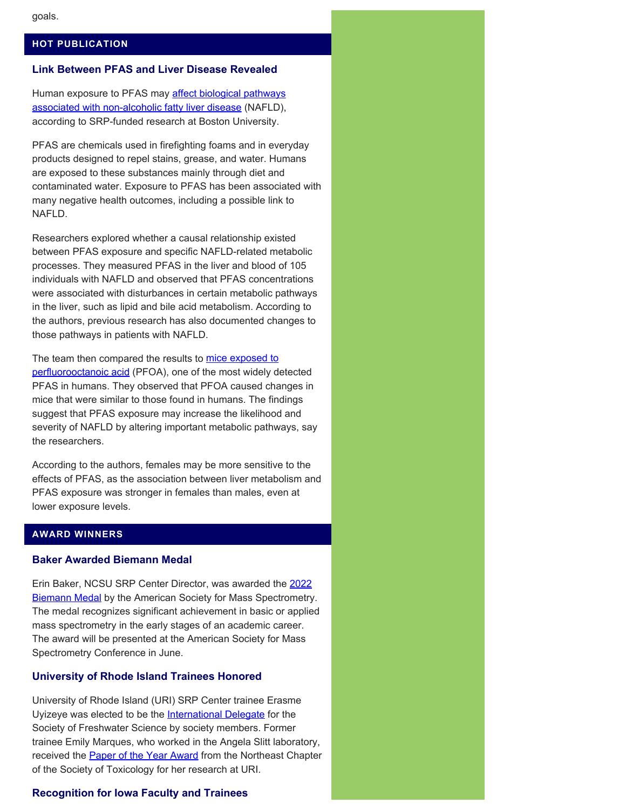#### **HOT PUBLICATION**

#### **Link Between PFAS and Liver Disease Revealed**

Human exposure to PFAS may [affect biological pathways](https://pubmed.ncbi.nlm.nih.gov/34627976/) [associated with non-alcoholic fatty liver disease](https://pubmed.ncbi.nlm.nih.gov/34627976/) (NAFLD), according to SRP-funded research at Boston University.

PFAS are chemicals used in firefighting foams and in everyday products designed to repel stains, grease, and water. Humans are exposed to these substances mainly through diet and contaminated water. Exposure to PFAS has been associated with many negative health outcomes, including a possible link to NAFLD.

Researchers explored whether a causal relationship existed between PFAS exposure and specific NAFLD-related metabolic processes. They measured PFAS in the liver and blood of 105 individuals with NAFLD and observed that PFAS concentrations were associated with disturbances in certain metabolic pathways in the liver, such as lipid and bile acid metabolism. According to the authors, previous research has also documented changes to those pathways in patients with NAFLD.

The team then compared the results to [mice exposed to](https://pubmed.ncbi.nlm.nih.gov/32822737/) [perfluorooctanoic acid](https://pubmed.ncbi.nlm.nih.gov/32822737/) (PFOA), one of the most widely detected PFAS in humans. They observed that PFOA caused changes in mice that were similar to those found in humans. The findings suggest that PFAS exposure may increase the likelihood and severity of NAFLD by altering important metabolic pathways, say the researchers.

According to the authors, females may be more sensitive to the effects of PFAS, as the association between liver metabolism and PFAS exposure was stronger in females than males, even at lower exposure levels.

# **AWARD WINNERS**

#### **Baker Awarded Biemann Medal**

Erin Baker, NCSU SRP Center Director, was awarded the [2022](https://superfund.ncsu.edu/news/2813/) **Biemann Medal** by the American Society for Mass Spectrometry. The medal recognizes significant achievement in basic or applied mass spectrometry in the early stages of an academic career. The award will be presented at the American Society for Mass Spectrometry Conference in June.

#### **University of Rhode Island Trainees Honored**

University of Rhode Island (URI) SRP Center trainee Erasme Uyizeye was elected to be the [International Delegate](https://mailchi.mp/c581b6475644/2021sfs-annual-meeting-abstract-submission-open-10885945?e=5fb9505457) for the Society of Freshwater Science by society members. Former trainee Emily Marques, who worked in the Angela Slitt laboratory, received the **Paper of the Year Award** from the Northeast Chapter of the Society of Toxicology for her research at URI.

#### **Recognition for Iowa Faculty and Trainees**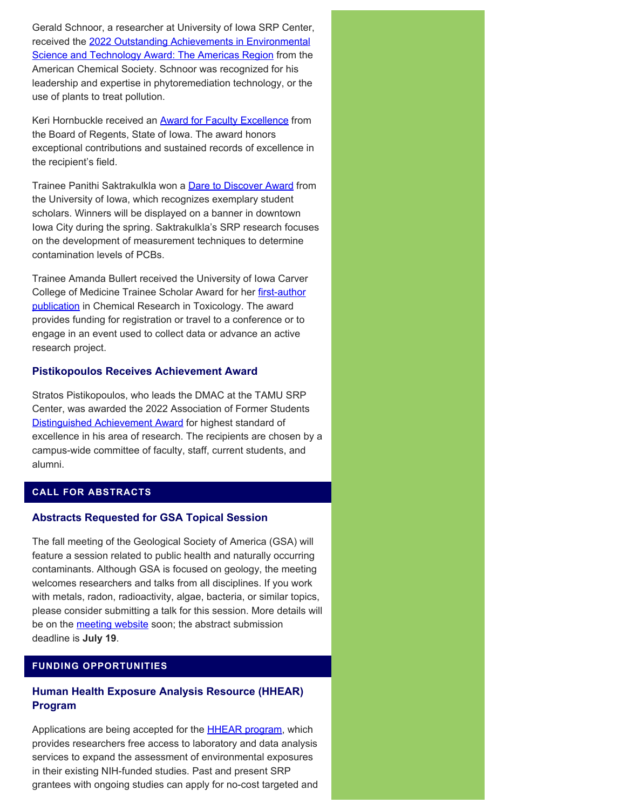Gerald Schnoor, a researcher at University of Iowa SRP Center, received the [2022 Outstanding Achievements in Environmental](https://pubs.acs.org/doi/10.1021/acs.estlett.1c00992) [Science and Technology Award: The Americas Region](https://pubs.acs.org/doi/10.1021/acs.estlett.1c00992) from the American Chemical Society. Schnoor was recognized for his leadership and expertise in phytoremediation technology, or the use of plants to treat pollution.

Keri Hornbuckle received an **Award for Faculty Excellence** from the Board of Regents, State of Iowa. The award honors exceptional contributions and sustained records of excellence in the recipient's field.

Trainee Panithi Saktrakulkla won a **Dare to Discover Award** from the University of Iowa, which recognizes exemplary student scholars. Winners will be displayed on a banner in downtown Iowa City during the spring. Saktrakulkla's SRP research focuses on the development of measurement techniques to determine contamination levels of PCBs.

Trainee Amanda Bullert received the University of Iowa Carver College of Medicine Trainee Scholar Award for her [first-author](https://pubs.acs.org/doi/10.1021/acs.chemrestox.1c00226) [publication](https://pubs.acs.org/doi/10.1021/acs.chemrestox.1c00226) in Chemical Research in Toxicology. The award provides funding for registration or travel to a conference or to engage in an event used to collect data or advance an active research project.

## **Pistikopoulos Receives Achievement Award**

Stratos Pistikopoulos, who leads the DMAC at the TAMU SRP Center, was awarded the 2022 Association of Former Students [Distinguished Achievement Award](https://today.tamu.edu/2022/03/30/association-of-former-students-distinguished-achievement-award-recipients-named/) for highest standard of excellence in his area of research. The recipients are chosen by a campus-wide committee of faculty, staff, current students, and alumni.

# **CALL FOR ABSTRACTS**

# **Abstracts Requested for GSA Topical Session**

The fall meeting of the Geological Society of America (GSA) will feature a session related to public health and naturally occurring contaminants. Although GSA is focused on geology, the meeting welcomes researchers and talks from all disciplines. If you work with metals, radon, radioactivity, algae, bacteria, or similar topics, please consider submitting a talk for this session. More details will be on the [meeting website](https://community.geosociety.org/gsa2022/home) soon; the abstract submission deadline is **July 19**.

# **FUNDING OPPORTUNITIES**

# **Human Health Exposure Analysis Resource (HHEAR) Program**

Applications are being accepted for the **HHEAR program**, which provides researchers free access to laboratory and data analysis services to expand the assessment of environmental exposures in their existing NIH-funded studies. Past and present SRP grantees with ongoing studies can apply for no-cost targeted and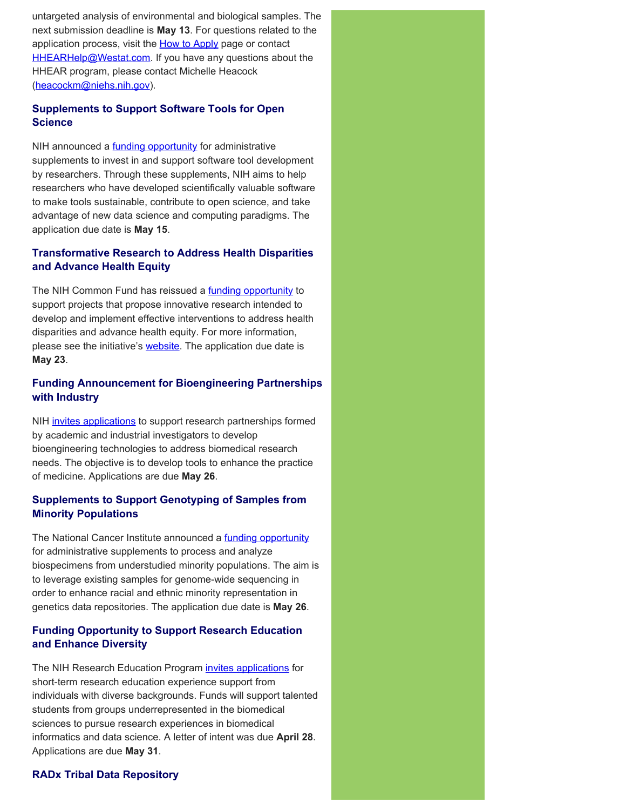untargeted analysis of environmental and biological samples. The next submission deadline is **May 13**. For questions related to the application process, visit the [How to Apply](https://hhearprogram.org/index.php/how-apply) page or contact [HHEARHelp@Westat.com.](mailto:HHEARHelp@Westat.com) If you have any questions about the HHEAR program, please contact Michelle Heacock ([heacockm@niehs.nih.gov\)](mailto:heacockm@niehs.nih.gov).

# **Supplements to Support Software Tools for Open Science**

NIH announced a **funding opportunity** for administrative supplements to invest in and support software tool development by researchers. Through these supplements, NIH aims to help researchers who have developed scientifically valuable software to make tools sustainable, contribute to open science, and take advantage of new data science and computing paradigms. The application due date is **May 15**.

# **Transformative Research to Address Health Disparities and Advance Health Equity**

The NIH Common Fund has reissued a **funding opportunity** to support projects that propose innovative research intended to develop and implement effective interventions to address health disparities and advance health equity. For more information, please see the initiative's **website**. The application due date is **May 23**.

# **Funding Announcement for Bioengineering Partnerships with Industry**

NIH [invites applications](https://grants.nih.gov/grants/guide/pa-files/PAR-22-123.html) to support research partnerships formed by academic and industrial investigators to develop bioengineering technologies to address biomedical research needs. The objective is to develop tools to enhance the practice of medicine. Applications are due **May 26**.

# **Supplements to Support Genotyping of Samples from Minority Populations**

The National Cancer Institute announced a [funding opportunity](https://grants.nih.gov/grants/guide/notice-files/NOT-CA-22-056.html) for administrative supplements to process and analyze biospecimens from understudied minority populations. The aim is to leverage existing samples for genome-wide sequencing in order to enhance racial and ethnic minority representation in genetics data repositories. The application due date is **May 26**.

# **Funding Opportunity to Support Research Education and Enhance Diversity**

The NIH Research Education Program [invites applications](https://grants.nih.gov/grants/guide/rfa-files/RFA-LM-22-001.html) for short-term research education experience support from individuals with diverse backgrounds. Funds will support talented students from groups underrepresented in the biomedical sciences to pursue research experiences in biomedical informatics and data science. A letter of intent was due **April 28**. Applications are due **May 31**.

# **RADx Tribal Data Repository**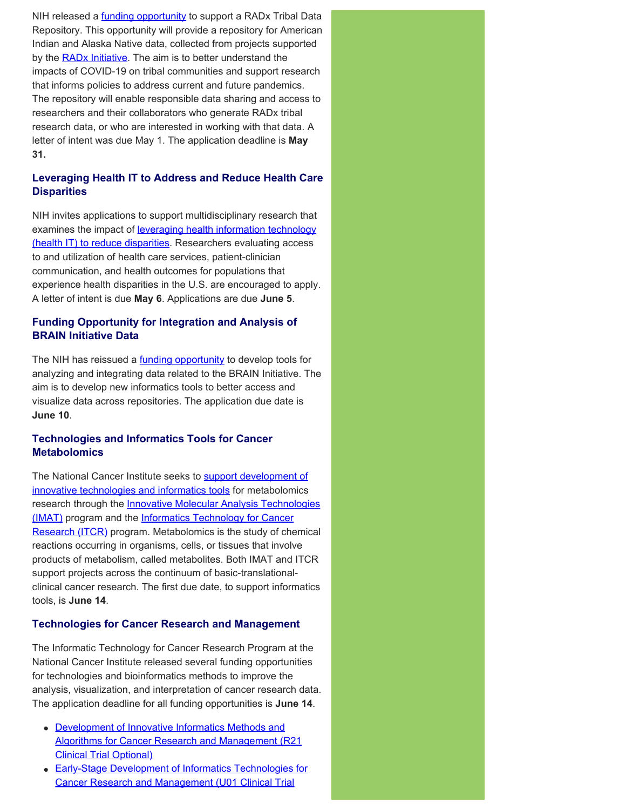NIH released a *funding opportunity* to support a RADx Tribal Data Repository. This opportunity will provide a repository for American Indian and Alaska Native data, collected from projects supported by the **RADx Initiative**. The aim is to better understand the impacts of COVID-19 on tribal communities and support research that informs policies to address current and future pandemics. The repository will enable responsible data sharing and access to researchers and their collaborators who generate RADx tribal research data, or who are interested in working with that data. A letter of intent was due May 1. The application deadline is **May 31.** 

# **Leveraging Health IT to Address and Reduce Health Care Disparities**

NIH invites applications to support multidisciplinary research that examines the impact of [leveraging health information technology](https://grants.nih.gov/grants/guide/pa-files/PAR-22-145.html) [\(health IT\) to reduce disparities.](https://grants.nih.gov/grants/guide/pa-files/PAR-22-145.html) Researchers evaluating access to and utilization of health care services, patient-clinician communication, and health outcomes for populations that experience health disparities in the U.S. are encouraged to apply. A letter of intent is due **May 6**. Applications are due **June 5**.

# **Funding Opportunity for Integration and Analysis of BRAIN Initiative Data**

The NIH has reissued a **funding opportunity** to develop tools for analyzing and integrating data related to the BRAIN Initiative. The aim is to develop new informatics tools to better access and visualize data across repositories. The application due date is **June 10**.

# **Technologies and Informatics Tools for Cancer Metabolomics**

The National Cancer Institute seeks to [support development of](https://grants.nih.gov/grants/guide/notice-files/NOT-CA-22-083.html) [innovative technologies and informatics tools](https://grants.nih.gov/grants/guide/notice-files/NOT-CA-22-083.html) for metabolomics research through the **Innovative Molecular Analysis Technologies** [\(IMAT\)](http://imat.cancer.gov/) program and the [Informatics Technology for Cancer](https://itcr.cancer.gov/) [Research \(ITCR\)](https://itcr.cancer.gov/) program. Metabolomics is the study of chemical reactions occurring in organisms, cells, or tissues that involve products of metabolism, called metabolites. Both IMAT and ITCR support projects across the continuum of basic-translationalclinical cancer research. The first due date, to support informatics tools, is **June 14**.

# **Technologies for Cancer Research and Management**

The Informatic Technology for Cancer Research Program at the National Cancer Institute released several funding opportunities for technologies and bioinformatics methods to improve the analysis, visualization, and interpretation of cancer research data. The application deadline for all funding opportunities is **June 14**.

- **[Development of Innovative Informatics Methods and](https://grants.nih.gov/grants/guide/rfa-files/RFA-CA-22-021.html)** [Algorithms for Cancer Research and Management \(R21](https://grants.nih.gov/grants/guide/rfa-files/RFA-CA-22-021.html) [Clinical Trial Optional\)](https://grants.nih.gov/grants/guide/rfa-files/RFA-CA-22-021.html)
- [Early-Stage Development of Informatics Technologies for](https://grants.nih.gov/grants/guide/rfa-files/RFA-CA-22-022.html) [Cancer Research and Management \(U01 Clinical Trial](https://grants.nih.gov/grants/guide/rfa-files/RFA-CA-22-022.html)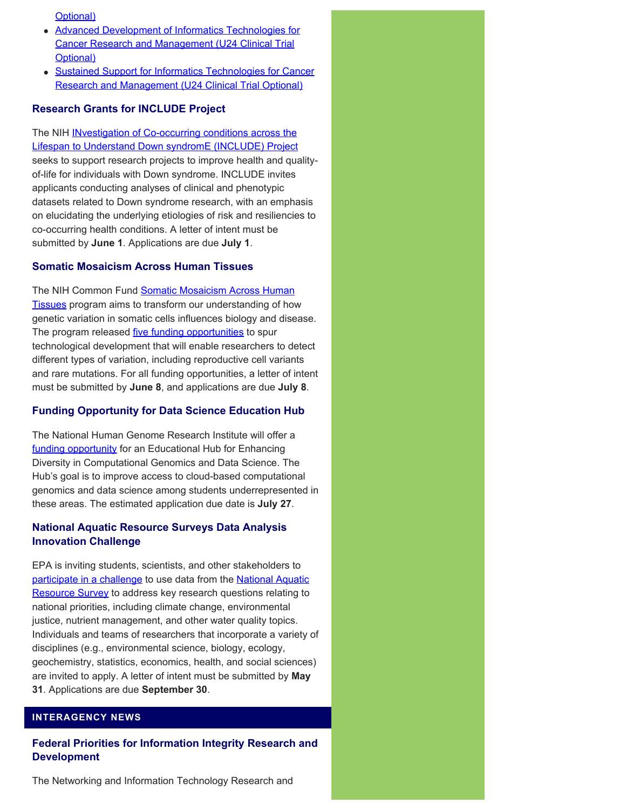[Optional\)](https://grants.nih.gov/grants/guide/rfa-files/RFA-CA-22-022.html)

- [Advanced Development of Informatics Technologies for](https://grants.nih.gov/grants/guide/rfa-files/RFA-CA-22-023.html) [Cancer Research and Management \(U24 Clinical Trial](https://grants.nih.gov/grants/guide/rfa-files/RFA-CA-22-023.html) [Optional\)](https://grants.nih.gov/grants/guide/rfa-files/RFA-CA-22-023.html)
- Sustained Support for Informatics Technologies for Cancer [Research and Management \(U24 Clinical Trial Optional\)](https://grants.nih.gov/grants/guide/rfa-files/RFA-CA-22-024.html)

#### **Research Grants for INCLUDE Project**

The NIH **INvestigation of Co-occurring conditions across the** [Lifespan to Understand Down syndromE \(INCLUDE\) Project](https://grants.nih.gov/grants/guide/rfa-files/RFA-OD-22-008.html)  seeks to support research projects to improve health and qualityof-life for individuals with Down syndrome. INCLUDE invites applicants conducting analyses of clinical and phenotypic datasets related to Down syndrome research, with an emphasis on elucidating the underlying etiologies of risk and resiliencies to co-occurring health conditions. A letter of intent must be submitted by **June 1**. Applications are due **July 1**.

#### **Somatic Mosaicism Across Human Tissues**

The NIH Common Fund [Somatic Mosaicism Across Human](https://commonfund.nih.gov/smaht) [Tissues](https://commonfund.nih.gov/smaht) program aims to transform our understanding of how genetic variation in somatic cells influences biology and disease. The program released *five funding opportunities* to spur technological development that will enable researchers to detect different types of variation, including reproductive cell variants and rare mutations. For all funding opportunities, a letter of intent must be submitted by **June 8**, and applications are due **July 8**.

#### **Funding Opportunity for Data Science Education Hub**

The National Human Genome Research Institute will offer a [funding opportunity](https://grants.nih.gov/grants/guide/notice-files/NOT-HG-22-012.html) for an Educational Hub for Enhancing Diversity in Computational Genomics and Data Science. The Hub's goal is to improve access to cloud-based computational genomics and data science among students underrepresented in these areas. The estimated application due date is **July 27**.

#### **National Aquatic Resource Surveys Data Analysis Innovation Challenge**

EPA is inviting students, scientists, and other stakeholders to [participate in a challenge](https://www.epa.gov/innovation/national-aquatic-resource-surveys-data-analysis-innovation-challenge) to use data from the [National Aquatic](https://www.epa.gov/national-aquatic-resource-surveys) [Resource Survey](https://www.epa.gov/national-aquatic-resource-surveys) to address key research questions relating to national priorities, including climate change, environmental justice, nutrient management, and other water quality topics. Individuals and teams of researchers that incorporate a variety of disciplines (e.g., environmental science, biology, ecology, geochemistry, statistics, economics, health, and social sciences) are invited to apply. A letter of intent must be submitted by **May 31**. Applications are due **September 30**.

# **INTERAGENCY NEWS**

#### **Federal Priorities for Information Integrity Research and Development**

The Networking and Information Technology Research and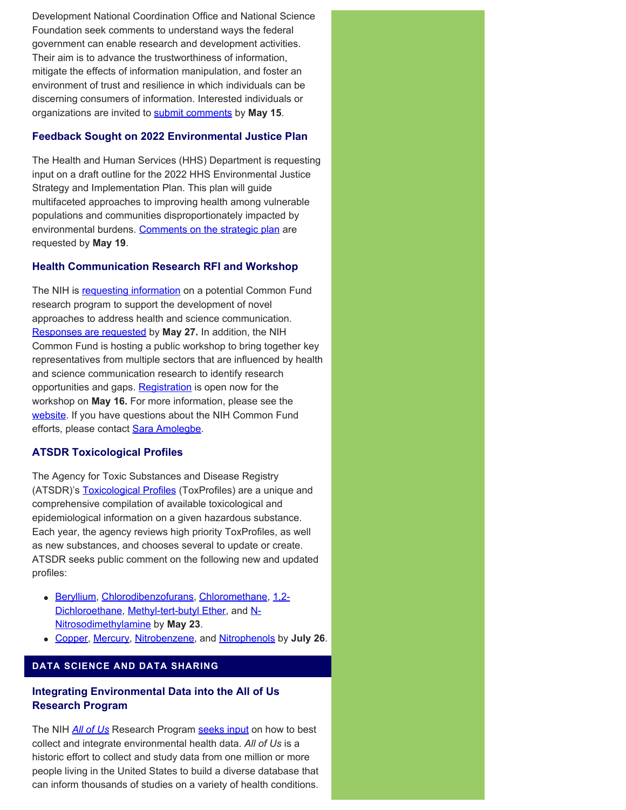Development National Coordination Office and National Science Foundation seek comments to understand ways the federal government can enable research and development activities. Their aim is to advance the trustworthiness of information, mitigate the effects of information manipulation, and foster an environment of trust and resilience in which individuals can be discerning consumers of information. Interested individuals or organizations are invited to [submit comments](https://www.federalregister.gov/documents/2022/03/17/2022-05683/request-for-information-on-federal-priorities-for-information-integrity-research-and-development) by **May 15**.

## **Feedback Sought on 2022 Environmental Justice Plan**

The Health and Human Services (HHS) Department is requesting input on a draft outline for the 2022 HHS Environmental Justice Strategy and Implementation Plan. This plan will guide multifaceted approaches to improving health among vulnerable populations and communities disproportionately impacted by environmental burdens. [Comments on the strategic plan](https://www.federalregister.gov/documents/2022/04/08/2022-07514/request-for-information-rfi-2022-hhs-environmental-justice-strategy-and-implementation-plan-draft) are requested by **May 19**.

#### **Health Communication Research RFI and Workshop**

The NIH is [requesting information](https://grants.nih.gov/grants/guide/notice-files/NOT-RM-22-012.html) on a potential Common Fund research program to support the development of novel approaches to address health and science communication. [Responses are requested](https://rfi.grants.nih.gov/?s=6250504abb0c0000b90021a2) by **May 27.** In addition, the NIH Common Fund is hosting a public workshop to bring together key representatives from multiple sectors that are influenced by health and science communication research to identify research opportunities and gaps. [Registration](https://roseliassociates.zoomgov.com/webinar/register/WN_q86fQ5VuSAStU1zkN79Sxw) is open now for the workshop on **May 16.** For more information, please see the [website.](https://commonfund.nih.gov/healthcommresearch) If you have questions about the NIH Common Fund efforts, please contact [Sara Amolegbe](mailto:sara.amolegbe@nih.gov).

#### **ATSDR Toxicological Profiles**

The Agency for Toxic Substances and Disease Registry (ATSDR)'s **Toxicological Profiles** (ToxProfiles) are a unique and comprehensive compilation of available toxicological and epidemiological information on a given hazardous substance. Each year, the agency reviews high priority ToxProfiles, as well as new substances, and chooses several to update or create. ATSDR seeks public comment on the following new and updated profiles:

- [Beryllium](https://wwwn.cdc.gov/TSP/ToxFAQs/ToxFAQsDetails.aspx?faqid=184&toxid=33), [Chlorodibenzofurans](https://wwwn.cdc.gov/TSP/ToxProfiles/ToxProfiles.aspx?id=938&tid=194), [Chloromethane](https://wwwn.cdc.gov/TSP/ToxProfiles/ToxProfiles.aspx?id=587&tid=109), [1,2-](https://wwwn.cdc.gov/TSP/ToxProfiles/ToxProfiles.aspx?id=592&tid=110) [Dichloroethane](https://wwwn.cdc.gov/TSP/ToxProfiles/ToxProfiles.aspx?id=592&tid=110), [Methyl-tert-butyl Ether](https://wwwn.cdc.gov/TSP/ToxProfiles/ToxProfiles.aspx?id=228&tid=41), and [N-](https://wwwn.cdc.gov/TSP/ToxProfiles/ToxProfiles.aspx?id=884&tid=173)[Nitrosodimethylamine](https://wwwn.cdc.gov/TSP/ToxProfiles/ToxProfiles.aspx?id=884&tid=173) by **May 23**.
- [Copper,](https://wwwn.cdc.gov/TSP/ToxProfiles/ToxProfiles.aspx?id=206&tid=37) [Mercury](https://wwwn.cdc.gov/TSP/ToxProfiles/ToxProfiles.aspx?id=115&tid=24), [Nitrobenzene](https://wwwn.cdc.gov/TSP/ToxProfiles/ToxProfiles.aspx?id=532&tid=95), and [Nitrophenols](https://wwwn.cdc.gov/TSP/ToxProfiles/ToxProfiles.aspx?id=880&tid=172) by **July 26**.

# **DATA SCIENCE AND DATA SHARING**

## **Integrating Environmental Data into the All of Us Research Program**

The NIH *[All of Us](https://allofus.nih.gov/about)* Research Program [seeks input](https://grants.nih.gov/grants/guide/notice-files/NOT-PM-22-001.html) on how to best collect and integrate environmental health data. *All of Us* is a historic effort to collect and study data from one million or more people living in the United States to build a diverse database that can inform thousands of studies on a variety of health conditions.